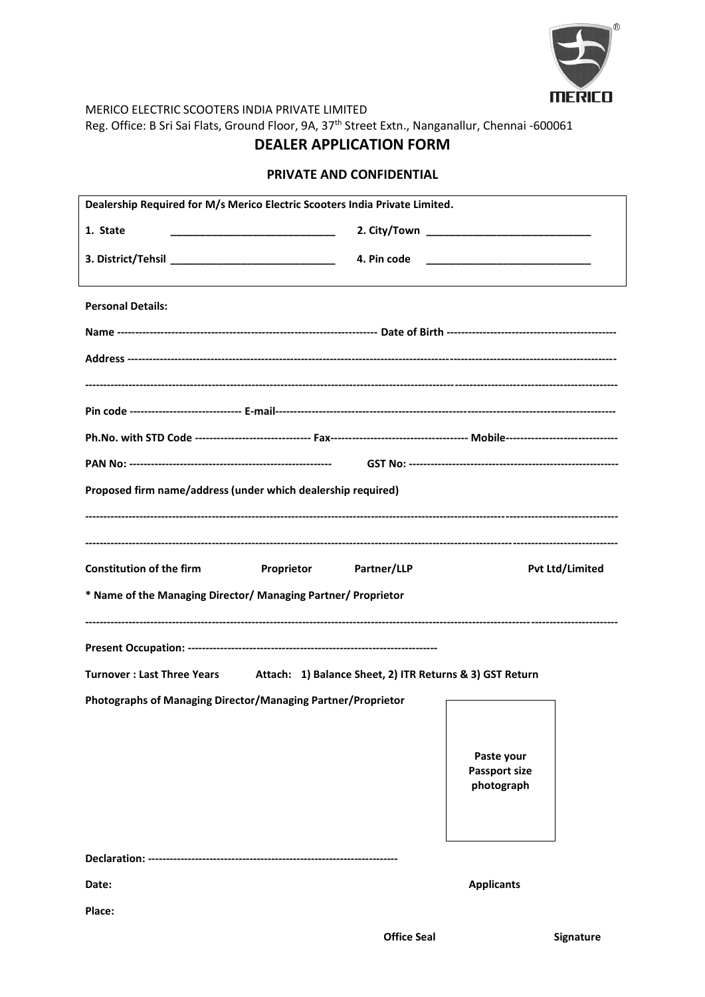

MERICO ELECTRIC SCOOTERS INDIA PRIVATE LIMITED Reg. Office: B Sri Sai Flats, Ground Floor, 9A, 37th Street Extn., Nanganallur, Chennai -600061

# **DEALER APPLICATION FORM**

### **PRIVATE AND CONFIDENTIAL**

| Dealership Required for M/s Merico Electric Scooters India Private Limited.                    |                                    |                                                                                                                      |  |  |  |  |  |  |
|------------------------------------------------------------------------------------------------|------------------------------------|----------------------------------------------------------------------------------------------------------------------|--|--|--|--|--|--|
| 1. State                                                                                       |                                    |                                                                                                                      |  |  |  |  |  |  |
|                                                                                                | 4. Pin code                        | <u> 1980 - Jan Barnett, mars andrew Maria Barnett, mars andrew Maria Barnett, mars andrew Maria Barnett, mars an</u> |  |  |  |  |  |  |
| <b>Personal Details:</b>                                                                       |                                    |                                                                                                                      |  |  |  |  |  |  |
|                                                                                                |                                    |                                                                                                                      |  |  |  |  |  |  |
|                                                                                                |                                    |                                                                                                                      |  |  |  |  |  |  |
|                                                                                                |                                    |                                                                                                                      |  |  |  |  |  |  |
|                                                                                                |                                    |                                                                                                                      |  |  |  |  |  |  |
|                                                                                                |                                    |                                                                                                                      |  |  |  |  |  |  |
|                                                                                                |                                    |                                                                                                                      |  |  |  |  |  |  |
| Proposed firm name/address (under which dealership required)                                   |                                    |                                                                                                                      |  |  |  |  |  |  |
|                                                                                                |                                    |                                                                                                                      |  |  |  |  |  |  |
| <b>Constitution of the firm</b>                                                                |                                    | <b>Pvt Ltd/Limited</b>                                                                                               |  |  |  |  |  |  |
| <b>Proprietor</b> Partner/LLP<br>* Name of the Managing Director/ Managing Partner/ Proprietor |                                    |                                                                                                                      |  |  |  |  |  |  |
|                                                                                                |                                    |                                                                                                                      |  |  |  |  |  |  |
|                                                                                                |                                    |                                                                                                                      |  |  |  |  |  |  |
| Turnover: Last Three Years Attach: 1) Balance Sheet, 2) ITR Returns & 3) GST Return            |                                    |                                                                                                                      |  |  |  |  |  |  |
| Photographs of Managing Director/Managing Partner/Proprietor                                   |                                    |                                                                                                                      |  |  |  |  |  |  |
|                                                                                                |                                    |                                                                                                                      |  |  |  |  |  |  |
|                                                                                                | Paste your                         |                                                                                                                      |  |  |  |  |  |  |
|                                                                                                | <b>Passport size</b><br>photograph |                                                                                                                      |  |  |  |  |  |  |
|                                                                                                |                                    |                                                                                                                      |  |  |  |  |  |  |
|                                                                                                |                                    |                                                                                                                      |  |  |  |  |  |  |
|                                                                                                |                                    |                                                                                                                      |  |  |  |  |  |  |
| Date:                                                                                          | <b>Applicants</b>                  |                                                                                                                      |  |  |  |  |  |  |
| Place:                                                                                         |                                    |                                                                                                                      |  |  |  |  |  |  |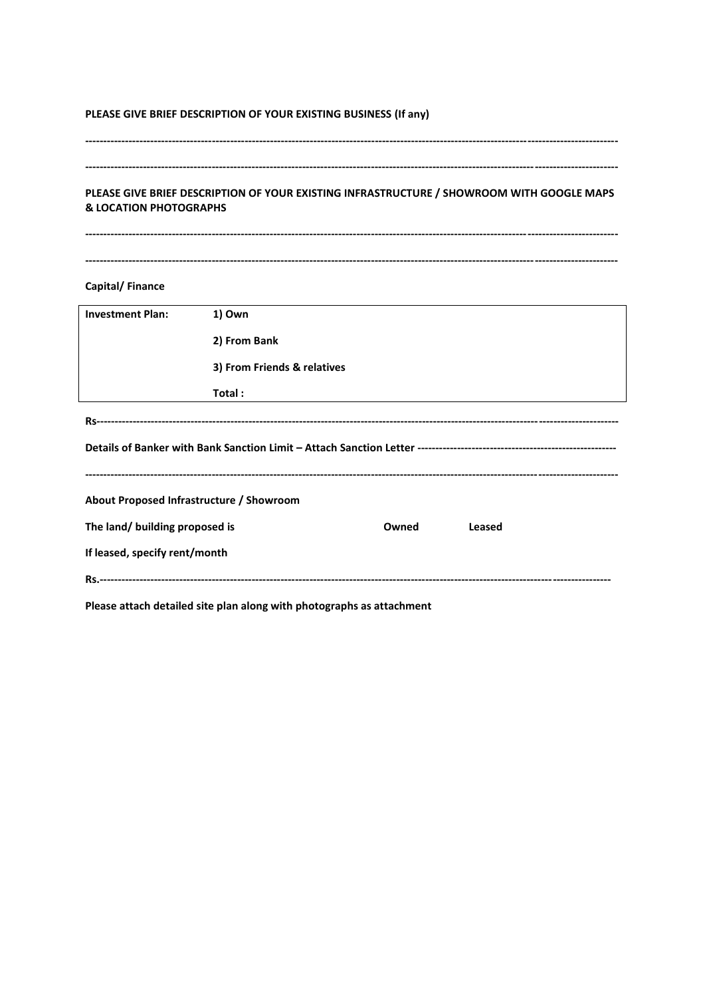#### PLEASE GIVE BRIEF DESCRIPTION OF YOUR EXISTING BUSINESS (If any)

#### 

#### PLEASE GIVE BRIEF DESCRIPTION OF YOUR EXISTING INFRASTRUCTURE / SHOWROOM WITH GOOGLE MAPS **& LOCATION PHOTOGRAPHS**

## **Capital/Finance**

| <b>Investment Plan:</b>                  | 1) Own                      |       |        |  |  |  |
|------------------------------------------|-----------------------------|-------|--------|--|--|--|
|                                          | 2) From Bank                |       |        |  |  |  |
|                                          | 3) From Friends & relatives |       |        |  |  |  |
|                                          | Total:                      |       |        |  |  |  |
|                                          |                             |       |        |  |  |  |
|                                          |                             |       |        |  |  |  |
| About Proposed Infrastructure / Showroom |                             |       |        |  |  |  |
| The land/ building proposed is           |                             | Owned | Leased |  |  |  |
| If leased, specify rent/month            |                             |       |        |  |  |  |
|                                          |                             |       |        |  |  |  |

Please attach detailed site plan along with photographs as attachment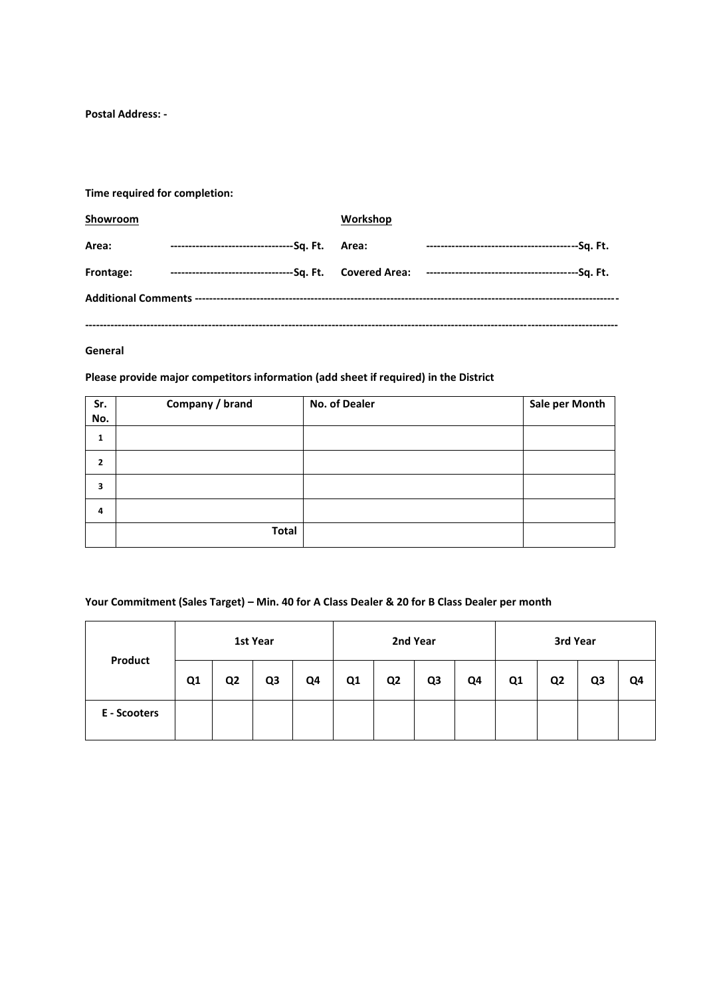**Postal Address: -**

**Time required for completion:**

| Showroom  |                                                 | Workshop |                                                                                     |  |  |  |  |  |
|-----------|-------------------------------------------------|----------|-------------------------------------------------------------------------------------|--|--|--|--|--|
| Area:     | ----------------------------------Sq. Ft. Area: |          |                                                                                     |  |  |  |  |  |
| Frontage: |                                                 |          | ---------------------------------Sq. Ft. Covered Area: направните составите Sq. Ft. |  |  |  |  |  |
|           |                                                 |          |                                                                                     |  |  |  |  |  |
|           |                                                 |          |                                                                                     |  |  |  |  |  |

### **General**

**Please provide major competitors information (add sheet if required) in the District**

| Sr.<br>No. | Company / brand | No. of Dealer | Sale per Month |
|------------|-----------------|---------------|----------------|
| 1          |                 |               |                |
| 2          |                 |               |                |
| 3          |                 |               |                |
| 4          |                 |               |                |
|            | <b>Total</b>    |               |                |

#### **Your Commitment (Sales Target) – Min. 40 for A Class Dealer & 20 for B Class Dealer per month**

| Product      | 1st Year |                |                | 2nd Year |    |                | 3rd Year       |    |    |                |    |    |
|--------------|----------|----------------|----------------|----------|----|----------------|----------------|----|----|----------------|----|----|
|              | Q1       | Q <sub>2</sub> | Q <sub>3</sub> | Q4       | Q1 | Q <sub>2</sub> | Q <sub>3</sub> | Q4 | Q1 | Q <sub>2</sub> | Q3 | Q4 |
| E - Scooters |          |                |                |          |    |                |                |    |    |                |    |    |